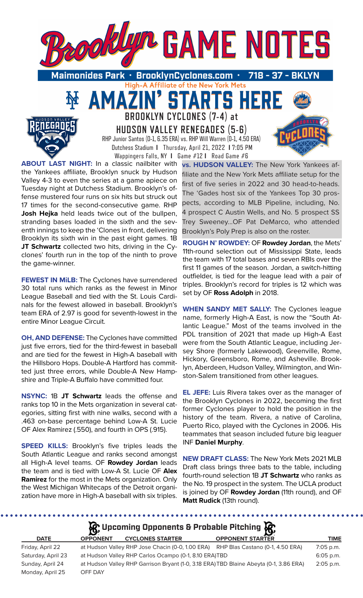

**STARTS HER** 

Maimonides Park • BrooklynCyclones.com 718 High-A Affiliate of the New York Mets

> **BROOKLYN CYCLONES (7-4) at HUDSON VALLEY RENEGADES (5-6)** RHP Junior Santos (0-1, 6.35 ERA) vs. RHP Will Warren (0-1, 4.50 ERA) Dutchess Stadium **I** Thursday, April 21, 2022 **I** 7:05 PM Wappingers Falls, NY **I** Game #12 **I** Road Game #6

**ABOUT LAST NIGHT:** In a classic nailbiter with the Yankees affiliate, Brooklyn snuck by Hudson Valley 4-3 to even the series at a game apiece on Tuesday night at Dutchess Stadium. Brooklyn's offense mustered four runs on six hits but struck out 17 times for the second-consecutive game. RHP **Josh Hejka** held leads twice out of the bullpen, stranding bases loaded in the sixth and the seventh innings to keep the 'Clones in front, delivering Brooklyn its sixth win in the past eight games. 1B **JT Schwartz** collected two hits, driving in the Cyclones' fourth run in the top of the ninth to prove the game-winner.

AMAZ

**FEWEST IN MiLB:** The Cyclones have surrendered 30 total runs which ranks as the fewest in Minor League Baseball and tied with the St. Louis Cardinals for the fewest allowed in baseball. Brooklyn's team ERA of 2.97 is good for seventh-lowest in the entire Minor League Circuit.

**OH, AND DEFENSE:** The Cyclones have committed just five errors, tied for the third-fewest in baseball and are tied for the fewest in High-A baseball with the Hillsboro Hops. Double-A Hartford has committed just three errors, while Double-A New Hampshire and Triple-A Buffalo have committed four.

**NSYNC:** 1B **JT Schwartz** leads the offense and ranks top 10 in the Mets organization in several categories, sitting first with nine walks, second with a .463 on-base percentage behind Low-A St. Lucie OF Alex Ramirez (.550), and fourth in OPS (.915).

**SPEED KILLS:** Brooklyn's five triples leads the South Atlantic League and ranks second amongst all High-A level teams. OF **Rowdey Jordan** leads the team and is tied with Low-A St. Lucie OF **Alex Ramirez** for the most in the Mets organization. Only the West Michigan Whitecaps of the Detroit organization have more in High-A baseball with six triples.

**vs. HUDSON VALLEY:** The New York Yankees affiliate and the New York Mets affiliate setup for the first of five series in 2022 and 30 head-to-heads. The 'Gades host six of the Yankees Top 30 prospects, according to MLB Pipeline, including, No. 4 prospect C Austin Wells, and No. 5 prospect SS Trey Sweeney...OF Pat DeMarco, who attended Brooklyn's Poly Prep is also on the roster.

**ROUGH N' ROWDEY:** OF **Rowdey Jordan**, the Mets' 11th-round selection out of Mississippi State, leads the team with 17 total bases and seven RBIs over the first 11 games of the season. Jordan, a switch-hitting outfielder, is tied for the league lead with a pair of triples. Brooklyn's record for triples is 12 which was set by OF **Ross Adolph** in 2018.

**WHEN SANDY MET SALLY:** The Cyclones league name, formerly High-A East, is now the "South Atlantic League." Most of the teams involved in the PDL transition of 2021 that made up High-A East were from the South Atlantic League, including Jersey Shore (formerly Lakewood), Greenville, Rome, Hickory, Greensboro, Rome, and Asheville. Brooklyn, Aberdeen, Hudson Valley, Wilmington, and Winston-Salem transitioned from other leagues.

**EL JEFE:** Luis Rivera takes over as the manager of the Brooklyn Cyclones in 2022, becoming the first former Cyclones player to hold the position in the history of the team. Rivera, a native of Carolina, Puerto Rico, played with the Cyclones in 2006. His teammates that season included future big leaguer INF **Daniel Murphy**.

**NEW DRAFT CLASS:** The New York Mets 2021 MLB Draft class brings three bats to the table, including fourth-round selection 1B **JT Schwartz** who ranks as the No. 19 prospect in the system. The UCLA product is joined by OF **Rowdey Jordan** (11th round), and OF **Matt Rudick** (13th round).

. . . . . . . . .

| $\mathcal{G}$ Upcoming Opponents & Probable Pitching $\mathcal{G}$ |                 |                                                                                   |                                                                                        |             |  |  |  |
|--------------------------------------------------------------------|-----------------|-----------------------------------------------------------------------------------|----------------------------------------------------------------------------------------|-------------|--|--|--|
| <b>DATE</b>                                                        | <b>OPPONENT</b> | <b>CYCLONES STARTER</b>                                                           | <b>OPPONENT STARTER</b>                                                                | <b>TIME</b> |  |  |  |
| Friday, April 22                                                   |                 | at Hudson Valley RHP Jose Chacin (0-0, 1.00 ERA) RHP Blas Castano (0-1, 4.50 ERA) |                                                                                        | $7:05$ p.m. |  |  |  |
| Saturday, April 23                                                 |                 | at Hudson Valley RHP Carlos Ocampo (0-1, 8.10 ERA)TBD                             |                                                                                        | 6:05 p.m.   |  |  |  |
| Sunday, April 24                                                   |                 |                                                                                   | at Hudson Valley RHP Garrison Bryant (1-0, 3.18 ERA) TBD Blaine Abeyta (0-1, 3.86 ERA) | 2:05 p.m.   |  |  |  |
| Monday, April 25                                                   | OFF DAY         |                                                                                   |                                                                                        |             |  |  |  |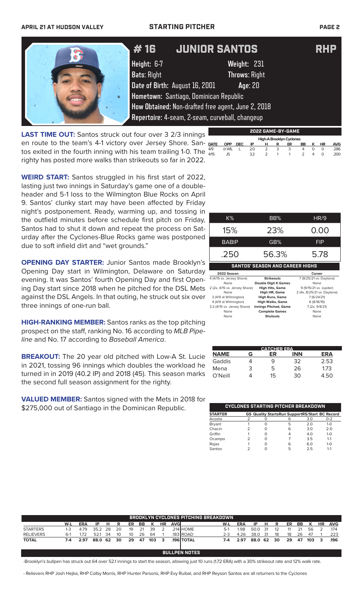### **APRIL 21 AT HUDSON VALLEY STARTING PITCHER PAGE 2**

|                                                                | #16                | <b>JUNIOR SANTOS</b>                               | <b>RHP</b> |
|----------------------------------------------------------------|--------------------|----------------------------------------------------|------------|
|                                                                | Height: 6-7        | Weight: 231                                        |            |
|                                                                | <b>Bats: Right</b> | <b>Throws: Right</b>                               |            |
|                                                                |                    | Date of Birth: August 16, 2001<br>Age: 20          |            |
| $\bullet$                                                      |                    | Hometown: Santiago, Dominican Republic             |            |
|                                                                |                    | How Obtained: Non-drafted free agent, June 2, 2018 |            |
|                                                                |                    | Repertoire: 4-seam, 2-seam, curveball, changeup    |            |
| <b>TIME OUT, Canton struple out four oursel 3.3/3 invinces</b> |                    | 2022 GAME-BY-GAME                                  |            |

**LAST TIME OUT:** Santos struck out four over 3 2/3 innings en route to the team's 4-1 victory over Jersey Shore. San- DATE tos exited in the fourth inning with his team trailing 1-0. The  $\frac{475}{4/15}$ righty has posted more walks than strikeouts so far in 2022.  **High-A Brooklyn Cyclones DATE OPP DEC IP H R ER BB K HR AVG** 4/9 @ WIL L 2.0 2 3 3 4 0 0 .286 4/15 JS 3.2 2 1 1 2 4 0 .200

**WEIRD START:** Santos struggled in his first start of 2022, lasting just two innings in Saturday's game one of a doubleheader and 5-1 loss to the Wilmington Blue Rocks on April 9. Santos' clunky start may have been affected by Friday night's postponement. Ready, warming up, and tossing in the outfield minutes before schedule first pitch on Friday, Santos had to shut it down and repeat the process on Saturday after the Cyclones-Blue Rocks game was postponed due to soft infield dirt and "wet grounds."

**OPENING DAY STARTER:** Junior Santos made Brooklyn's Opening Day start in Wilmington, Delaware on Saturday evening. It was Santos' fourth Opening Day and first Opening Day start since 2018 when he pitched for the DSL Mets against the DSL Angels. In that outing, he struck out six over three innings of one-run ball.

**HIGH-RANKING MEMBER:** Santos ranks as the top pitching prospect on the staff, ranking No. 16 according to *MLB Pipeline* and No. 17 according to *Baseball America*.

**BREAKOUT:** The 20 year old pitched with Low-A St. Lucie in 2021, tossing 96 innings which doubles the workload he turned in in 2019 (40.2 IP) and 2018 (45). This season marks the second full season assignment for the righty.

**VALUED MEMBER:** Santos signed with the Mets in 2018 for \$275,000 out of Santiago in the Dominican Republic.

| K%           | BB%                                    | HR/9       |
|--------------|----------------------------------------|------------|
| 15%          | 23%                                    | 0.00       |
| <b>BABIP</b> | GB%                                    | <b>FIP</b> |
| .250         | 56.3%                                  | 5.78       |
|              | <b>SANTOS' SEASON AND CAREER HIGHS</b> |            |

| 2022 Season                   |                              | Career                      |
|-------------------------------|------------------------------|-----------------------------|
| 4 (4/15 vs. Jersey Shore)     | <b>Strikeouts</b>            | 7 (8/25/21 vs. Daytona)     |
| None                          | <b>Double Digit K Games</b>  | None                        |
| 2 (2x, 4/15 vs. Jersey Shore) | <b>High Hits, Game</b>       | 9 (9/15/21 vs. Jupiter)     |
| None                          | High HR, Game                | 2 (4x, 8/25/21 vs. Daytona) |
| 3 (4/9 at Wilmington)         | <b>High Runs, Game</b>       | 7 (6/24/21)                 |
| 4 (4/9 at Wilmington)         | <b>High Walks, Game</b>      | 6(8/18/19)                  |
| 3.2 (4/15 vs. Jersey Shore)   | <b>Innings Pitched, Game</b> | 7 (2x, 9/8/21)              |
| None                          | <b>Complete Games</b>        | None                        |
| None                          | <b>Shutouts</b>              | None                        |

|             | <b>CATCHER ERA</b> |    |     |      |  |  |  |  |  |  |  |
|-------------|--------------------|----|-----|------|--|--|--|--|--|--|--|
| <b>NAME</b> | G                  | ER | INN | ERA  |  |  |  |  |  |  |  |
| Gaddis      |                    | 9  | 32  | 2.53 |  |  |  |  |  |  |  |
| Mena        | 3                  | 5  | 26  | 1.73 |  |  |  |  |  |  |  |
| O'Neill     |                    | 15 | 30  | 4 50 |  |  |  |  |  |  |  |

|                |   | CYCLONES STARTING PITCHER BREAKDOWN                   |     |         |
|----------------|---|-------------------------------------------------------|-----|---------|
| <b>STARTER</b> |   | <b>GS Quality StartsRun SupportRS/Start BC Record</b> |     |         |
| Acosta         |   |                                                       | 3.0 | $0 - 2$ |
| Bryant         |   | 5                                                     | 2.0 | $1 - 0$ |
| Chacin         | O | 6                                                     | 3.0 | $2 - 0$ |
| Griffin        |   |                                                       | 4.0 | $1 - 0$ |
| Ocampo         | O |                                                       | 3.5 | $1 - 1$ |
| Rojas          |   | ห                                                     | 6.0 | $1 - 0$ |
| Santos         |   | 5                                                     | 25  | $1 - 1$ |

| W-L   | <b>ERA</b> | ΙP  | н  | R                  | ER | BB |     | HR |  | W-L                                                     | <b>ERA</b> | ΙP                                    | н   | R       | ER | BB |     | HR | <b>AVG</b> |
|-------|------------|-----|----|--------------------|----|----|-----|----|--|---------------------------------------------------------|------------|---------------------------------------|-----|---------|----|----|-----|----|------------|
| 1-3   | 4.79       |     |    | 20                 | 19 | 21 | 39  |    |  | $5-1$                                                   | 1.98       | 50.0                                  | -31 |         |    | 21 | 56  |    | .174       |
| $6-1$ | .72        | 521 | 34 | 10                 | 10 | 26 | -64 |    |  | $2-3$                                                   | 4.26       | 38.0                                  | -31 | 18      | 18 | 26 | 47  |    | .223       |
| 7-4   | 2.97       |     |    | 30                 | 29 | 47 | 103 |    |  | 7-4                                                     | 2.97       |                                       |     | 30      | 29 | 47 | 103 | 3  | .196       |
|       |            |     |    |                    |    |    |     |    |  |                                                         |            |                                       |     |         |    |    |     |    |            |
|       |            |     |    | 35.2 28<br>88.0 62 |    |    |     |    |  | <b>AVGI</b><br>214 HOME<br>183 ROAD<br><b>196 TOTAL</b> |            | BROOKLYN CYCLONES PITCHING BREAKDOWN. |     | 88.0 62 |    |    |     |    |            |

**BULLPEN NOTES**

-Brooklyn's bullpen has struck out 64 over 52.1 innings to start the season, allowing just 10 runs (1.72 ERA) with a 30% strikeout rate and 12% walk rate.

- Relievers RHP Josh Hejka, RHP Colby Morris, RHP Hunter Parsons, RHP Evy Ruibal, and RHP Reyson Santos are all returners to the Cyclones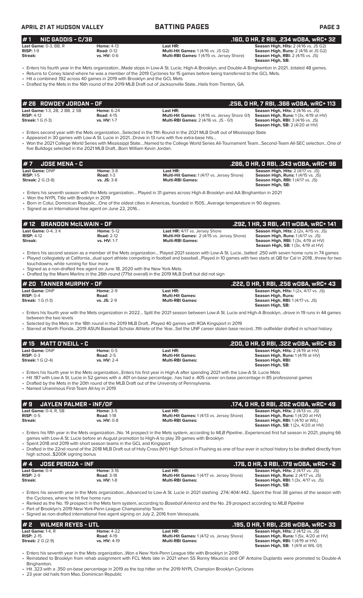### **APRIL 21 AT HUDSON VALLEY BATTING PAGES PAGE 3 # 7 JOSE MENA - C .286, 0 HR, 0 RBI, .343 wOBA, wRC+ 96 Last Game: DNP Home:** 3-8 **Last HR: Season High, Hits:** 2 (4/17 vs. JS)<br> **RISP:** 1-5 **Road:** 1-3 **Road: 1-3 Multi-Hit Games:** 1 (4/17 vs. Jersey Shore) **Season High, Runs:** 1 (4/15 vs. JS)<br> **Streak:** 2 G (3-8) **vs. JS RISP:** 1-5 **Road:** 1-3 **Multi-Hit Games:** 1 (4/17 vs. Jersey Shore) **Season High, Runs:** 1 (4/15 vs. JS) **Streak:** 2 G (3-8) **vs. JS:** 3-8 **Multi-RBI Games: Season High, RBI:** 1 (4/17 vs. JS) **Season High, SB:**  • Enters his seventh season with the Mets organization… Played in 31 games across High-A Brooklyn and AA Binghamton in 2021 • Won the NYPL Title with Brooklyn in 2019 • Born in Cotui, Dominican Republic…One of the oldest cities in Americas, founded in 1505…Average temperature in 90 degrees. • Signed as an International free agent on June 22, 2016… **Last Game: DNP Home: 2-9 Last HR: Last HR: Season High, Hits:** 1 (2x, 4/17 vs. JS)<br> **RISP:** 0-4 **Road: Righ, Runs: Righ, Runs: Righ, Runs: RISP:** 0-4 **Righ, Runs: Righ, Runs: Righ, Runs: Righ, Runs: RISP:** 0-4 **Road: Multi-Hit Games: Season High, Runs: Season High, RBI:** 1 (4/17 vs. JS) **Season High, SB:**  • Enters his fourth year with the Mets organization in 2022… Split the 2021 season between Low-A St. Lucie and High-A Brooklyn…drove in 19 runs in 44 games between the two levels • Selected by the Mets in the 18th round in the 2019 MLB Draft…Played 40 games with ROA Kingsport in 2019 • Starred at North Florida…2019 ASUN Baseball Scholar Athlete of the Year…Set the UNF career stolen base record…11th outfielder drafted in school history. **# 20 TANNER MURPHY - OF .222, 0 HR, 1 RBI, .256 wOBA, wRC+ 43 # 1 NIC GADDIS - C/3B .160, 0 HR, 2 RBI, .234 wOBA, wRC+ 32 Last Game:** 0-3, BB, R<br>**RISP:** 1-9 **Road:** 0-12 **Road:** 0-12 **Home:** 4-13 **Homes:** 1/4/16 vs. JS G2) **Season High, Hits:** 2 (4/16 vs. JS G2) **RISP:** 1-9 **Road:** 0-12 **Multi-Hit Games:** 1 (4/16 vs. JS G2) **Season High, Runs:** 2 (4/16 at JS G2) **Multi-RBI Games: 1 (4/15 vs. Jersey Shore) Season High, SB:**  • Enters his fourth year in the Mets organization...Made stops in Low-A St. Lucie, High-A Brooklyn, and Double-A Binghamton in 2021…totaled 48 games. • Returns to Coney Island where he was a member of the 2019 Cyclones for 15 games before being transferred to the GCL Mets. • Hit a combined .192 across 40 games in 2019 with Brooklyn and the GCL Mets • Drafted by the Mets in the 16th round of the 2019 MLB Draft out of Jacksonville State...Hails from Trenton, GA. **Last Game:** 1-3, 2B, 2 BB, 2 SB **Home:** 6-24 **Last HR: Season High, Hits:** 2 (4/16 vs. JS) **RISP:** 4-12 **Road:** 4-15 **Multi-Hit Games:** 1 (4/16 vs. Jersey Shore G1) **Season High, Runs:** 1 (3x, 4/19 at HV) **Streak: 1 G, 2 G, 2 G, 2 G, 2 G, 2 G, 2 G, 2 H)**<br> **RISP:** 4-12 **Road:** 4-15 **Multi-Hit Games:** 1 (4/16 vs. Jersey S<br> **Streak:** 1 G (1-3) **vs. HV:** 1-7 **Multi-RBI Games:** 2 (4/16 vs. JS - G1) **Season High, SB:** 2 (4/20 at HV) • Enters second year with the Mets organization…Selected in the 11th Round in the 2021 MLB Draft out of Mississippi State • Appeared in 30 games with Low-A St. Lucie in 2021…Drove in 13 runs with five extra-base hits… • Won the 2021 College World Series with Mississippi State….Named to the College World Series All-Tournament Team…Second-Team All-SEC selection…One of five Bulldogs selected in the 2021 MLB Draft…Born William Kevin Jordan. **# 26 ROWDEY JORDAN - OF .256, 0 HR, 7 RBI, .366 wOBA, wRC+ 113 Last Game:** 0-4, 3 K **Home:** 5-12 **Last HR:** 4/17 vs. Jersey Shore **Season High, Hits:** 2 (2x, 4/15 vs. JS) **RISP:** 4-12 **Road:** 2-12 **Multi-Hit Games:** 2 (4/15 vs. Jersey Shore) **Season High, Runs:** 1 (4/17 vs. JS) AND THE MULTI-LAND MULTI-LAND MULTI-LAND MULTI-LAND MULTI-LAND MULTI-RBI Games:<br>
vs. HV: 1-7 **Multi-RBI Games: Season High, RBI:** 1 (3x, 4/19 at HV)<br> **Season High, SB:** 1 (3x, 4/19 at HV) **Season High, SB:** 1 (3x, 4/19 at HV) • Enters his second season as a member of the Mets organization… Played 2021 season with Low-A St. Lucie…batted .250 with seven home runs in 74 games • Played collegiately at California…dual sport athlete competing in football and baseball…Played in 10 games with two starts at QB for Cal in 2018…threw for two touchdowns, while running for four more Signed as a non-drafted free agent on June 18, 2020 with the New York Mets • Drafted by the Miami Marlins in the 26th round (771st overall) in the 2019 MLB Draft but did not sign **# 12 BRANDON McILWAIN - OF**<br> **141** Last Game: 0-4, 3 K **Home: 5-12**<br> **141** RISP: 4-12 Season High, Hits: 2 (2x, 4/15 vs. Js)<br>
RISP: 4-12 RISP: 4-12 Road: 2-12 Multi-Hit Games: 2 (4/15 vs. Jersey Shore) Season High, Runs: **Last Game:** DNP **Home:** 0-5 **Last HR: Season High, Hits:** 2 (4/19 at HV) **RISP:** 0-3 **Road:** 2-5 **Multi-Hit Games: Season High, Runs:** 1 (4/19 at HV) **Streak:** 1 G (2-4) **vs. HV:** 2-4 **Multi-RBI Games: Season High, RBI: Season High, SB:**  • Enters his fourth year in the Mets organization...Enters his first year in High-A after spending 2021 with the Low-A St. Lucie Mets • Hit .187 with Low-A St. Lucie in 52 games with a .401 on-base percentage...has had a .405 career on-base percentage in 85 professional games • Drafted by the Mets in the 20th round of the MLB Draft out of the University of Pennsylvania. • Named Unanimous First-Team All-Ivy in 2019 **# 15 MATT O'NEILL - C .200, 0 HR, 0 RBI, .322 wOBA, wRC+ 83 # 9 JAYLEN PALMER - INF/OF .174, 0 HR, 0 RBI, .262 wOBA, wRC+ 49 Last Game:** 0-4, R, SB **Home: 3-5 Last HR: Season High, Hits:** 2 (4/13 vs. JS)<br> **RISP:** 0-5 **Season High, Runs: 1** (4/20 at HV **RISP:** 0-5 **Road:** 1-18 **Multi-Hit Games:** 1 (4/13 vs. Jersey Shore) **Season High, Runs:** 1 (4/20 at HV) **Season High, Runs: 1 (4/20 at HV)**<br>**Season High, Runs: 1 (4/20 at HV)**<br>**Season High, RBI: 1 (4/10 at WIL) Season High, SB:** 1 (2x, 4/20 at HV) • Enters his fifth year in the Mets organization...No. 14 prospect in the Mets system, according to *MLB Pipeline*...Experienced first full season in 2021, playing 66 games with Low-A St. Lucie before an August promotion to High-A to play 39 games with Brooklyn • Spent 2018 and 2019 with short season teams in the GCL and Kingsport • Drafted in the 22nd round of the 2018 MLB Draft out of Holy Cross (NY) High School in Flushing as one of four ever in school history to be drafted directly from high school...\$200K signing bonus **# 4 JOSE PEROZA - INF .176, 0 HR, 3 RBI, .179 wOBA, wRC+ -2 Last Game:** 0-4 **Home:** 3-16 **Last HR: Season High, Hits:** 2 (4/17 vs. JS) **RISP:** 2-9 **Road:** 3-18 **Multi-Hit Games:** 1 (4/17 vs. Jersey Shore) **Season High, Runs:** 2 (4/17 vs. JS) **Streak: vs. HV:** 1-8 **Multi-RBI Games: Season High, RBI:** 1 (3x, 4/17 vs. JS) **Season High, SB:**  • Enters his seventh year in the Mets organization...Advanced to Low-A St. Lucie in 2021 slashing .274/.404/.442…Spent the final 38 games of the season with the Cyclones, where he hit five home runs • Ranked as the No. 19 prospect in the Mets farm system, according to *Baseball America* and the No. 29 prospect according to *MLB Pipeline* Part of Brooklyn's 2019 New York-Penn League Championship Team. • Signed as non-drafted international free agent signing on July 2, 2016 from Venezuela. **# 2 WILMER REYES - UTL .195, 0 HR, 1 RBI, .236 wOBA, wRC+ 33 Last Game:** 1-4, R **Home:** 4-22 **Last HR: Season High, Hits:** 2 (4/12 vs. JS) **RISP:** 2-15 **Road:**  $4-19$  **Road:**  $4-19$  **Multi-Hit Games:** 1 (4/12 vs. Jersey Shore) **Streak:** 2 G (2-9) **vs. HV:** 4-19 **Multi-RBI Games:** 1 **Season High, RBI:** 1 (4/19 at HV) **Season High, SB:** 1 (4/9 at WIL G1)

• Enters his seventh year in the Mets organization...Won a New York-Penn League title with Brooklyn in 2019 • Reinstated to Brooklyn from rehab assignment with FCL Mets late in 2021 when SS Ronny Mauricio and OF Antoine Duplantis were promoted to Double-A

Binghamton. • Hit .323 with a .350 on-base percentage in 2019 as the top hitter on the 2019 NYPL Champion Brooklyn Cyclones

23 year old hails from Mao, Dominican Republic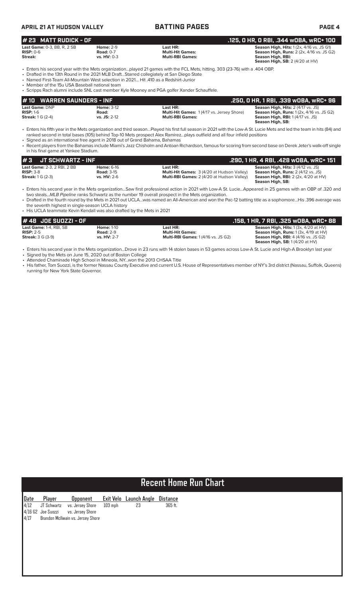# **APRIL 21 AT HUDSON VALLEY BATTING PAGES PAGE 4**

### **# 23 MATT RUDICK - OF .125, 0 HR, 0 RBI, .344 wOBA, wRC+ 100**

| <b>Last Game: 0-3. BB. R. 2 SB.</b> | <b>Home: 2-9</b> | Last HR:                |  | <b>Season High, Hits: 1 (2x, 4/16 vs. JS G1)</b> |                                                  |
|-------------------------------------|------------------|-------------------------|--|--------------------------------------------------|--------------------------------------------------|
| $RISP: 0-6$                         | <b>Road: 0-7</b> | <b>Multi-Hit Games:</b> |  |                                                  | <b>Season High, Runs:</b> 2 (2x, 4/16 vs. JS G2) |
| Streak:                             | $vs. HV: 0-3$    | <b>Multi-RBI Games:</b> |  | Season High, RBI:                                |                                                  |

**Season High, Hits:** 1 (2x, 4/16 vs.<br> **Multi-Hit Games: Season High, Runs:** 2 (2x, 4/16 v<br> **Multi-RBI Games: Season High, RBI:**<br> **Season High, SB:** 2 (4/20 at HV)

 **Season High, SB:** 2 (4/20 at HV) • Enters his second year with the Mets organization…played 21 games with the FCL Mets, hitting. 303 (23-76) with a .404 OBP.

- Drafted in the 13th Round in the 2021 MLB Draft…Starred collegiately at San Diego State
- Named First-Team All-Mountain West selection in 2021… Hit .410 as a Redshirt-Junior

• Member of the 15u USA Baseball national team • Scripps Rach alumni include SNL cast member Kyle Mooney and PGA golfer Xander Schauffele.

| #10 WARREN SAUNDERS - INF                                 |                                              |                                                                                         | . 250, O HR, 1 RBI, .339 wOBA, wRC+ 96.                                                                                                                |
|-----------------------------------------------------------|----------------------------------------------|-----------------------------------------------------------------------------------------|--------------------------------------------------------------------------------------------------------------------------------------------------------|
| <b>Last Game: DNP</b><br>$RISP: 1-6$<br>Streak: $1G(2-4)$ | <b>Home: 3-12</b><br>Road:<br>$vs.$ JS: 2-12 | Last HR:<br><b>Multi-Hit Games: 1(4/17 vs. Jersey Shore)</b><br><b>Multi-RBI Games:</b> | <b>Season High, Hits: 2 (4/17 vs. JS)</b><br><b>Season High, Runs: 1 (2x, 4/16 vs. JS G2)</b><br>Season High, RBI: 1 (4/17 vs. JS)<br>Season High, SB: |

• Enters his fifth year in the Mets organization and third season…Played his first full season in 2021 with the Low-A St. Lucie Mets and led the team in hits (84) and ranked second in total bases (105) behind Top-10 Mets prospect Alex Ramirez…plays outfield and all four infield positions

• Signed as an international free agent in 2018 out of Grand Bahama, Bahamas

• Recent players from the Bahamas include Miami's Jazz Chisholm and Antoan Richardson, famous for scoring from second base on Derek Jeter's walk-off single in his final game at Yankee Stadium.

| l#3<br>JT SCHWARTZ - INF                          |                                        |                                                        | .290, 1 HR, 4 RBI, .428 w0BA, wRC+ 151                                                 |
|---------------------------------------------------|----------------------------------------|--------------------------------------------------------|----------------------------------------------------------------------------------------|
| <b>Last Game: 2-3, 2 RBI, 2 BB</b><br>$RISP: 3-8$ | <b>Home: 6-16</b><br><b>Road: 3-15</b> | Last HR:<br>Multi-Hit Games: 3 (4/20 at Hudson Valley) | <b>Season High, Hits: 3 (4/12 vs. JS)</b><br><b>Season High, Runs:</b> 2 (4/12 vs. JS) |
| <b>Streak: 1 G (2-3)</b>                          | <b>vs. HV: 2-6</b>                     | <b>Multi-RBI Games:</b> 2 (4/20 at Hudson Valley)      | <b>Season High, RBI:</b> $2$ ( $2x$ , $4/20$ at $HV$ )<br>Season High, SB:             |

• Enters his second year in the Mets organization…Saw first professional action in 2021 with Low-A St. Lucie…Appeared in 25 games with an OBP of .320 and two steals...*MLB Pipeline* ranks Schwartz as the number 19 overall prospect in the Mets organization.

• Drafted in the fourth round by the Mets in 2021 out UCLA…was named an All-American and won the Pac-12 batting title as a sophomore…His .396 average was the seventh highest in single-season UCLA history

• His UCLA teammate Kevin Kendall was also drafted by the Mets in 2021

| # 48  JOE SUOZZI - OF    |                    |                                            | .158, 1 HR, 7 RBI, .325 wOBA, wRC+ 88            |
|--------------------------|--------------------|--------------------------------------------|--------------------------------------------------|
| Last Game: 1-4, RBI, SB  | <b>Home: 1-10</b>  | Last HR:                                   | <b>Season High, Hits:</b> $1(3x, 4/20$ at $HV$ ) |
| $RISP: 2-5$              | <b>Road: 2-9</b>   | <b>Multi-Hit Games:</b>                    | <b>Season High, Runs:</b> $1(3x, 4/19$ at $HV$ ) |
| <b>Streak:</b> 3 G (3-9) | <b>vs. HV: 2-7</b> | <b>Multi-RBI Games: 1 (4/16 vs. JS G2)</b> | <b>Season High, RBI: 4 (4/16 vs. JS G2)</b>      |
|                          |                    |                                            | Season High, SB: 1(4/20 at HV)                   |

• Enters his second year in the Mets organization...Drove in 23 runs with 14 stolen bases in 53 games across Low-A St. Lucie and High-A Brooklyn last year

• Signed by the Mets on June 15, 2020 out of Boston College • Attended Chaminade High School in Mineola, NY...won the 2013 CHSAA Title

• His father, Tom Suozzi, is the former Nassau County Executive and current U.S. House of Representatives member of NY's 3rd district (Nassau, Suffolk, Queens) running for New York State Governor.

# **Recent Home Run Chart**

|  | <b>Date Player Opponent</b><br>4/12 JT Schwartz vs. Jersey Shore<br>4/16 G2 Joe Suozzi vs. Jersey Shore<br>4/17 Brandon McIlwain vs. Jersey Shore |         | Exit Velo Launch Angle Distance |         |
|--|---------------------------------------------------------------------------------------------------------------------------------------------------|---------|---------------------------------|---------|
|  |                                                                                                                                                   | 103 mph | -23                             | 365 ft. |
|  |                                                                                                                                                   |         |                                 |         |
|  |                                                                                                                                                   |         |                                 |         |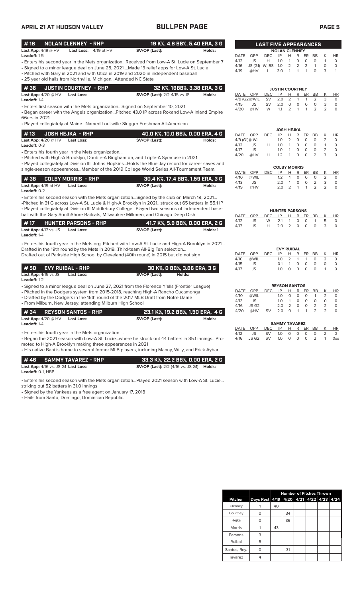| APRIL 21 AT HUDSON VALLEY                                       |                                                                                                                 | <b>BULLPEN PAGE</b>                                                                                                                                                                                                                                                                                                                                                                                                                        |                                         |                                                   |                                        |                                |                                |                                                        |                                                                    | <b>PAGE 5</b>                 |                                       |                                                 |
|-----------------------------------------------------------------|-----------------------------------------------------------------------------------------------------------------|--------------------------------------------------------------------------------------------------------------------------------------------------------------------------------------------------------------------------------------------------------------------------------------------------------------------------------------------------------------------------------------------------------------------------------------------|-----------------------------------------|---------------------------------------------------|----------------------------------------|--------------------------------|--------------------------------|--------------------------------------------------------|--------------------------------------------------------------------|-------------------------------|---------------------------------------|-------------------------------------------------|
| #18<br>Last App: $4/19 @ HV$                                    | <b>NOLAN CLENNEY - RHP</b><br>Last Loss: 4/19 at HV                                                             | SV/OP (Last):                                                                                                                                                                                                                                                                                                                                                                                                                              | 19 K%, 4.8 BB%, 5.40 ERA, 3 G<br>Holds: |                                                   |                                        | <b>LAST FIVE APPEARANCES</b>   |                                | <b>NOLAN CLENNEY</b>                                   |                                                                    |                               |                                       |                                                 |
| Leadoff: 1-5                                                    | • 25 year old hails from Northville, Michigan Attended NC State                                                 | - Enters his second year in the Mets organizationReceived from Low-A St. Lucie on September 7<br>• Signed to a minor league deal on June 28, 2021Made 13 relief apps for Low-A St. Lucie<br>• Pitched with Gary in 2021 and with Utica in 2019 and 2020 in independent baseball                                                                                                                                                            |                                         | DATE<br>4/12<br>4/16<br>4/19                      | OPP<br>JS<br>@HV                       | DEC<br>Н<br>JS (G1) W, BS<br>L | IP<br>1.0<br>1.0<br>3.0        | H.<br>$\mathbf{1}$<br>$\overline{2}$<br>$\overline{1}$ | R<br><b>ER</b><br>0<br>0<br>2<br>2<br>$\mathbf{1}$<br>$\mathbf{1}$ | BB<br>0<br>$\mathbf{1}$<br>0  | К<br>$\mathbf{1}$<br>$\circ$<br>3     | <b>HR</b><br>$\circ$<br>$\circ$<br>$\mathbf{1}$ |
| #36                                                             | <b>JUSTIN COURTNEY - RHP</b>                                                                                    |                                                                                                                                                                                                                                                                                                                                                                                                                                            | 32 K%, 16BB%, 3.38 ERA, 3 G             |                                                   |                                        |                                |                                | <b>JUSTIN COURTNEY</b>                                 |                                                                    |                               |                                       |                                                 |
| Last App: $4/20 @HV$<br>Leadoff: 1-4                            | <b>Last Loss:</b>                                                                                               | <b>SV/OP (Last):</b> 2/2 4/15 vs JS                                                                                                                                                                                                                                                                                                                                                                                                        | Holds:                                  | DATE OPP<br>4/9 (G2)@WIL                          |                                        | DEC<br><b>SV</b>               | IP<br>2.0                      | Н<br>2                                                 | R<br>ER<br>$\mathbf{1}$<br>1                                       | BB<br>2                       | К<br>3                                | <b>HR</b><br>0                                  |
| 66ers in 2021                                                   |                                                                                                                 | • Enters first season with the Mets organizationSigned on September 10, 2021<br>• Began career with the Angels organizationPitched 43.0 IP across Rokand Low-A Inland Empire                                                                                                                                                                                                                                                               |                                         | 4/15<br>4/20                                      | JS<br>@HV                              | <b>SV</b><br>W                 | 2.0<br>1.1                     | 0<br>2                                                 | 0<br>0<br>1<br>$\mathbf{1}$                                        | $\circ$<br>2                  | 3<br>2                                | $\circ$<br>$\circ$                              |
|                                                                 |                                                                                                                 | • Played collegiately at MaineNamed Louisville Slugger Freshman All-American                                                                                                                                                                                                                                                                                                                                                               |                                         |                                                   |                                        |                                |                                |                                                        |                                                                    |                               |                                       |                                                 |
| #13<br><b>Last App:</b> 4/20 @ HV<br>Leadoff: 0-3               | <b>JOSH HEJKA - RHP</b><br><b>Last Loss:</b><br>• Enters his fourth year in the Mets organization               | 40.0 K%, 10.0 BB%, 0.00 ERA, 4 G<br>SV/OP (Last):<br>• Pitched with High-A Brooklyn, Double-A Binghamton, and Triple-A Syracuse in 2021<br>. Played collegiately at Division III Johns Hopkins Holds the Blue Jay record for career saves and                                                                                                                                                                                              | Holds:                                  | DATE OPP<br>4/9 (G1)@ WIL<br>4/12<br>4/17<br>4/20 | JS<br>JS<br>@HV                        | <b>DEC</b><br>Н<br>Н           | IP<br>1.0<br>1.0<br>1.0<br>1.2 | JOSH HEJKA<br>н<br>2<br>$\mathbf{1}$<br>1<br>1         | R<br>ER<br>0<br>0<br>$\circ$<br>0<br>0<br>0<br>0<br>O              | BB<br>0<br>0<br>0<br>2        | К<br>2<br>$\mathbf{1}$<br>2<br>3      | HR<br>0<br>$\circ$<br>$\circ$<br>$\Omega$       |
|                                                                 |                                                                                                                 | single-season appearancesMember of the 2019 College World Series All-Tournament Team.                                                                                                                                                                                                                                                                                                                                                      |                                         | DATE                                              | OPP                                    | <b>DEC</b>                     | IP                             | <b>COLBY MORRIS</b><br>Н                               | R<br>ER                                                            | BB                            | К                                     | <b>HR</b>                                       |
| #38<br>Last App: 4/19 at HV<br>Leadoff: 0-2                     | <b>COLBY MORRIS - RHP</b><br>Last Loss:                                                                         | 30.4 K%, 17.4 BB%, 1.59 ERA, 3 G<br>SV/OP (Last):                                                                                                                                                                                                                                                                                                                                                                                          | Holds:                                  | 4/10<br>4/13<br>4/19                              | @WIL<br>JS<br>@HV                      |                                | 1.2<br>2.0<br>2.0              | $\mathbf{1}$<br>$\mathbf{1}$<br>2                      | 0<br>0<br>0<br>$\circ$<br>$\mathbf{1}$<br>$\mathbf{1}$             | 0<br>2<br>2                   | $\overline{2}$<br>3<br>$\overline{2}$ | 0<br>$\circ$<br>$\circ$                         |
| #17<br>Last App: 4/17 vs. JS<br>Leadoff: 1-4                    | <b>HUNTER PARSONS - RHP</b><br><b>Last Loss:</b>                                                                | . Enters his second season with the Mets organization Signed by the club on March 19, 2021<br>•Pitched in 31 G across Low-A St. Lucie & High-A Brooklyn in 2021struck out 65 batters in 55.1 IP<br>. Played collegiately at Division III Middlebury CollegePlayed two seasons of Independent base-<br>ball with the Gary SouthShore Railcats, Milwaukee Milkmen, and Chicago Deep Dish<br>41.7 K%, 5.9 BB%, 0.00 ERA, 2 G<br>SV/OP (Last): | Holds: 1                                | DATE<br>4/12<br>4/17                              | OPP<br>JS<br>JS                        | <b>DEC</b><br>W<br>H           | IP<br>2.1<br>2.0               | <b>HUNTER PARSONS</b><br>Н<br>$\mathbf{1}$<br>2        | R<br>ER<br>0<br>0<br>$\circ$<br>$\circ$                            | BB<br>$\mathbf{1}$<br>$\circ$ | К<br>5<br>3                           | <b>HR</b><br>0<br>$\circ$                       |
|                                                                 |                                                                                                                 | . Enters his fourth year in the Mets org. Pitched with Low-A St. Lucie and High-A Brooklyn in 2021<br>Drafted in the 19th round by the Mets in 2019Third-team All-Big Ten selection<br>Drafted out of Parkside High School by Cleveland (40th round) in 2015 but did not sign                                                                                                                                                              |                                         | DATE<br>4/10                                      | OPP<br>@WIL                            | <b>DEC</b>                     | IP<br>1.0                      | <b>EVY RUIBAL</b><br>н<br>$\overline{2}$               | R<br>ER<br>$\mathbf{1}$<br>$\mathbf{1}$                            | BB<br>0                       | К<br>2                                | HR<br>$\circ$                                   |
| #50<br>Last App: 4/15 vs JS<br>Leadoff: 1-2                     | <b>EVY RUIBAL - RHP</b><br><b>Last Loss:</b>                                                                    | 30 K%, 0 BB%, 3.86 ERA, 3 G<br>SV/OP (Last):<br>Holds:                                                                                                                                                                                                                                                                                                                                                                                     |                                         | 4/15<br>4/17                                      | JS<br>JS                               |                                | 0.1<br>1.0                     | 1<br>0                                                 | 0<br>0<br>0<br>0                                                   | $\circ$<br>$\circ$            | $\circ$<br>$\mathbf{1}$               | $\circ$<br>$\Omega$                             |
|                                                                 | • From Milburn, New Jersey, attending Milburn High School                                                       | · Signed to a minor league deal on June 27, 2021 from the Florence Y'alls (Frontier League)<br>• Pitched in the Dodgers system from 2015-2018, reaching High-A Rancho Cucamonga<br>• Drafted by the Dodgers in the 16th round of the 2017 MLB Draft from Notre Dame                                                                                                                                                                        |                                         | <b>DATE</b><br>4/10<br>4/13<br>4/16               | OPP<br>@WIL<br>JS<br>JS G <sub>2</sub> | DEC                            | IP<br>1.0<br>1.0<br>2.0        | <b>REYSON SANTOS</b><br>0<br>1<br>2                    | 0<br>0<br>0<br>0<br>0<br>0                                         | ER BB<br>1<br>0<br>2          | K<br>2<br>0<br>2                      | HR<br>0<br>0<br>0                               |
| # 34<br>Last App: $4/20 \ @$ HV<br>Leadoff: 1-4                 | <b>REYSON SANTOS - RHP</b><br><b>Last Loss:</b>                                                                 | 23.1 K%, 19.2 BB%, 1.50 ERA, 4 G<br>SV/OP (Last):                                                                                                                                                                                                                                                                                                                                                                                          | Holds:                                  | 4/20                                              | @HV                                    | SV                             | 2.0                            | $\circ$<br><b>SAMMY TAVAREZ</b>                        | $\mathbf{1}$<br>$\mathbf{1}$                                       | 2                             | 2                                     | 0                                               |
|                                                                 | • Enters his fourth year in the Mets organization<br>moted to High-A Brooklyn making three appearances in 2021  | . Began the 2021 season with Low-A St. Luciewhere he struck out 44 batters in 35.1 inningsPro-<br>• His native Bani is home to several former MLB players, including Manny, Willy, and Erick Aybar.                                                                                                                                                                                                                                        |                                         | DATE OPP<br>4/12<br>4/16                          | JS<br>JS G2                            | DEC<br>SV<br><b>SV</b>         | ΙP<br>1.0<br>1.0               | Н<br>0<br>0                                            | R<br>ER<br>0<br>0<br>0<br>0                                        | BB<br>0<br>2                  | К<br>$\overline{2}$<br>$\mathbf{1}$   | HR<br>0<br><b>Oss</b>                           |
| #46<br>Last App: 4/16 vs. JS G1 Last Loss:<br>Leadoff: 0-1, HBP | <b>SAMMY TAVAREZ - RHP</b>                                                                                      | 33.3 K%, 22.2 BB%, 0.00 ERA, 2 G<br><b>SV/OP (Last):</b> 2/2 (4/16 vs. JS G1) <b>Holds:</b>                                                                                                                                                                                                                                                                                                                                                |                                         |                                                   |                                        |                                |                                |                                                        |                                                                    |                               |                                       |                                                 |
| striking out 52 batters in 31.0 innings                         | • Signed by the Yankees as a free agent on January 17, 2018<br>• Hails from Santo, Domingo, Dominican Republic. | . Enters his second season with the Mets organizationPlayed 2021 season with Low-A St. Lucie                                                                                                                                                                                                                                                                                                                                               |                                         |                                                   |                                        |                                |                                |                                                        |                                                                    |                               |                                       |                                                 |

|                |                                         | <b>Number of Pitches Thrown</b> |    |  |  |  |  |  |  |  |
|----------------|-----------------------------------------|---------------------------------|----|--|--|--|--|--|--|--|
| <b>Pitcher</b> | Days Rest 4/19 4/20 4/21 4/22 4/23 4/24 |                                 |    |  |  |  |  |  |  |  |
| Clenney        |                                         | 40                              |    |  |  |  |  |  |  |  |
| Courtney       | O                                       |                                 | 34 |  |  |  |  |  |  |  |
| Hejka          |                                         |                                 | 36 |  |  |  |  |  |  |  |
| <b>Morris</b>  |                                         | 43                              |    |  |  |  |  |  |  |  |
| Parsons        | 3                                       |                                 |    |  |  |  |  |  |  |  |
| Ruibal         | 5                                       |                                 |    |  |  |  |  |  |  |  |
| Santos, Rey.   | O                                       |                                 | 31 |  |  |  |  |  |  |  |
| Tavarez        |                                         |                                 |    |  |  |  |  |  |  |  |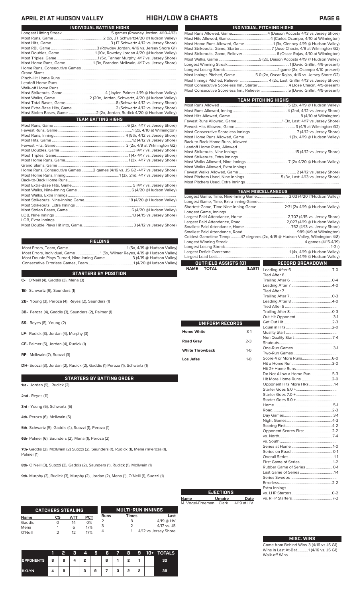# **APRIL 21 AT HUDSON VALLEY HIGH/LOW & CHARTS PAGE 6**

| <b>TEAM BATTING HIGHS</b>                                                   |
|-----------------------------------------------------------------------------|
|                                                                             |
|                                                                             |
|                                                                             |
|                                                                             |
|                                                                             |
|                                                                             |
|                                                                             |
|                                                                             |
|                                                                             |
| Home Runs, Consecutive Games 2 games (4/16 vs. JS G2 -4/17 vs Jersey Shore) |
|                                                                             |
|                                                                             |
|                                                                             |
|                                                                             |
|                                                                             |
|                                                                             |
|                                                                             |
|                                                                             |
|                                                                             |
|                                                                             |
|                                                                             |
|                                                                             |

**INDIVIDUAL BATTING HIGHS**

### **FIELDING**

Most Errors, Team, Game............................................................. 1 (5x, 4/19 @ Hudson Valley) Most Errors, Individual, Game......................... 1 (5x, Wilmer Reyes, 4/19 @ Hudson Valley) Most Double Plays Turned, Nine-Inning Game............................ 3 (4/19 @ Hudson Valley) Consecutive Errorless Games, Team.

### **STARTERS BY POSITION**

**C-** O'Neill (4), Gaddis (3), Mena (3)

- **1B-** Schwartz (9), Saunders (1)
- **2B-** Young (3), Peroza (4), Reyes (2), Saunders (1)
- **3B-** Peroza (4), Gaddis (3), Saunders (2), Palmer (1)
- **SS-** Reyes (8), Young (2)
- **LF-** Rudick (3), Jordan (4), Murphy (3)
- **CF-** Palmer (5), Jordan (4), Rudick (1)
- **RF-** McIlwain (7), Suozzi (3)

**DH-** Suozzi (3), Jordan (2), Rudick (2), Gaddis (1) Peroza (1), Schwartz (1)

### **STARTERS BY BATTING ORDER**

**1st -** Jordan (9), Rudick (2)

**2nd -** Reyes (11)

- **3rd** Young (5), Schwartz (6)
- **4th-** Peroza (6), McIlwain (5)

**5th-** Schwartz (5), Gaddis (4), Suozzi (1), Peroza (1)

**6th-** Palmer (6), Saunders (2), Mena (1), Peroza (2)

7th- Gaddis (2), McIlwain (2) Suozzi (2), Saunders (1), Rudick (1), Mena (1)Peroza (1), Palmer (1)

**8th-** O'Neill (3), Suozzi (3), Gaddis (2), Saunders (1), Rudick (1), McIlwain (1)

**9th-** Murphy (3), Rudick (3), Murphy (2), Jordan (2), Mena (1), O'Neill (1), Suozzi (1)

|             | <b>CATCHERS STEALING</b> |     |            |             |              | <b>MULTI-RUN INNINGS</b> |
|-------------|--------------------------|-----|------------|-------------|--------------|--------------------------|
| <b>Name</b> | СS                       | АТТ | <b>PCT</b> | <b>Runs</b> | <b>Times</b> | Last                     |
| Gaddis      |                          | 14  | 0%         |             | 8            | $4/19$ @ HV              |
| Mena        |                          | 6   | 17%        |             |              | $4/17$ vs. JS            |
| O'Neill     |                          | 12  | 17%        | 4           |              | 4/12 vs Jersey Shore     |

|                  |     |   | я | 4 | 5 | R |   | 8 | G | $10+$ | <b>TOTALS</b> |
|------------------|-----|---|---|---|---|---|---|---|---|-------|---------------|
| <b>OPPONENTS</b> | l s | 6 |   | , |   | 6 |   | ٠ |   |       | 30            |
| <b>BKLYN</b>     |     | 9 |   | з | 9 |   | ٠ | o | o |       | 39            |

| INDIVIDUAL PITCHING HIGHS                                                  |
|----------------------------------------------------------------------------|
|                                                                            |
|                                                                            |
|                                                                            |
|                                                                            |
|                                                                            |
|                                                                            |
|                                                                            |
|                                                                            |
| Most Innings Pitched, Game5.0 (2x, Oscar Rojas, 4/16 vs. Jersey Shore G2)  |
| Most Innings Pitched, Reliever  4 (2x, Last: Griffin 4/13 vs Jersey Shore) |
| Most Consecutive Scoreless Inn., Starter4 (Jose Chacin, 4/9-present)       |
| Most Consecutive Scoreless Inn., Reliever 5 (David Griffin, 4/9-present)   |

| <b>TEAM PITCHING HIGHS</b>                                                |  |
|---------------------------------------------------------------------------|--|
|                                                                           |  |
|                                                                           |  |
|                                                                           |  |
|                                                                           |  |
|                                                                           |  |
|                                                                           |  |
| Most Home Runs Allowed, Game……………………………………………1 (3x, 4/19 @ Hudson Valley) |  |
|                                                                           |  |
|                                                                           |  |
|                                                                           |  |
|                                                                           |  |
|                                                                           |  |
| Most Walks Allowed, Extra Innings                                         |  |
|                                                                           |  |
|                                                                           |  |
|                                                                           |  |

|                             |         | <b>TEAM MISCELLANEOUS</b>                                                  |  |
|-----------------------------|---------|----------------------------------------------------------------------------|--|
|                             |         | Longest Game, Time, Nine-Inning Game 3:03 (4/20 @Hudson Valley)            |  |
|                             |         |                                                                            |  |
|                             |         | Shortest Game, Time Nine-Inning Game. 2:31 (2x 4/19 @ Hudson Valley)       |  |
|                             |         |                                                                            |  |
|                             |         |                                                                            |  |
|                             |         |                                                                            |  |
|                             |         |                                                                            |  |
|                             |         | Coldest Gametime Temp47 degrees (2x, 4/19 @ Hudson Valley, Wilmington 4/8) |  |
|                             |         |                                                                            |  |
|                             |         |                                                                            |  |
|                             |         |                                                                            |  |
|                             |         |                                                                            |  |
| OUTFIELD ASSISTS (0)        |         | RECORD BREAKDOWN                                                           |  |
| <b>NAME</b><br><b>TOTAL</b> | (LAST)  |                                                                            |  |
|                             |         |                                                                            |  |
|                             |         |                                                                            |  |
|                             |         |                                                                            |  |
|                             |         |                                                                            |  |
|                             |         |                                                                            |  |
|                             |         |                                                                            |  |
|                             |         |                                                                            |  |
|                             |         |                                                                            |  |
|                             |         |                                                                            |  |
| UNIFORM RECORDS             |         |                                                                            |  |
| <b>Home White</b>           | $3-1$   |                                                                            |  |
|                             |         |                                                                            |  |
| <b>Road Gray</b>            | $2 - 3$ |                                                                            |  |
|                             |         |                                                                            |  |
| <b>White Throwback</b>      | $1 - 0$ |                                                                            |  |
| Los Jefes                   | $1 - 0$ |                                                                            |  |
|                             |         |                                                                            |  |
|                             |         |                                                                            |  |
|                             |         | Do Not Allow a Home Run5-3                                                 |  |
|                             |         | Hit More Home Runs 2-0                                                     |  |
|                             |         | Opponent Hits More HRs1-1                                                  |  |
|                             |         |                                                                            |  |
|                             |         |                                                                            |  |
|                             |         |                                                                            |  |
|                             |         |                                                                            |  |
|                             |         |                                                                            |  |
|                             |         |                                                                            |  |
|                             |         |                                                                            |  |
|                             |         | Opponent Scores First 2-2                                                  |  |
|                             |         |                                                                            |  |
|                             |         |                                                                            |  |
|                             |         |                                                                            |  |
|                             |         |                                                                            |  |
|                             |         |                                                                            |  |
|                             |         |                                                                            |  |
|                             |         | Rubber Game of Series (0-1)                                                |  |

**Name Umpire Date** M. Vogel-Freeman Clark 4/19 at HV **EJECTIONS**

|  | <b>MISC. WINS</b> |  |
|--|-------------------|--|
|  |                   |  |

Rubber Game of Series ............................0-1

Series Sweeps ................................................. Errorless.......................................................2-2 Extra Innings ..................................................... vs. LHP Starters..........................................0-2

Last Game of Series ...

vs. RHP Starters.

Come from Behind Wins 3 (4/16 vs JS G1) Wins in Last At-Bat...........1 (4/16 vs. JS G1) Walk-off Wins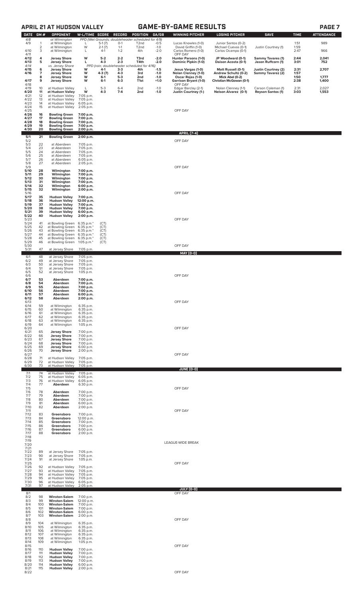# **APRIL 21 AT HUDSON VALLEY GAME-BY-GAME RESULTS PAGE 7**

| <b>DATE</b>          | GM#               | <b>OPPONENT</b>                                                 | W-L/TIME SCORE                      |                   | <b>RECORD</b>                                                | POSITION                 | GA/GB            | <b>WINNING PITCHER</b>                            | <b>LOSING PITCHER</b>                             | <b>SAVE</b>                              | <b>TIME</b>  | <b>ATTENDANCE</b> |
|----------------------|-------------------|-----------------------------------------------------------------|-------------------------------------|-------------------|--------------------------------------------------------------|--------------------------|------------------|---------------------------------------------------|---------------------------------------------------|------------------------------------------|--------------|-------------------|
| 4/8<br>4/9           | 1                 | at Wilmington<br>at Wilmington                                  | L                                   | $5-1(7)$          | PPD (Wet Grounds; doubleheader scheduled for 4/9)<br>$0 - 1$ | T <sub>2</sub> nd        | $-0.5$           | Lucas Knowles (1-0)                               | Junior Santos (0-2)                               |                                          | 1:51         | 989               |
| 4/10                 | 2<br>3            | at Wilmington<br>at Wilmington                                  | W<br>L                              | $2-1(7)$<br>$4-1$ | $1 - 1$<br>$1 - 2$                                           | T <sub>2</sub> nd<br>4th | $-1.0$<br>$-2.0$ | David Griffin (1-0)<br>Carlos Romero (1-0)        | Michael Cuevas (0-1)<br>Carlos Ocampo (0-1)       | Justin Courtney (1)                      | 1:59<br>2:47 | 966               |
| 4/11<br>4/12         | 4                 | <b>Jersey Shore</b>                                             | W                                   | $5-2$             | $2 - 2$                                                      | T3rd                     | $-2.0$           | OFF DAY<br>Hunter Parsons (1-0)                   | JP Woodward (0-1)                                 | <b>Sammy Tavares (1)</b>                 | 2:44         | 2,041             |
| 4/13<br>4/14         | 5                 | <b>Jersey Shore</b><br>vs. Jersey Shore                         | L                                   | $4-3$             | $2 - 3$<br>PPD (rain; doubleheader scheduled for 4/16)       | T4th                     | $-2.0$           | Dominic Pipkin (1-0)                              | Daison Acosta (0-1)                               | Jason Ruffcorn (1)                       | 3:01         | 752               |
| 4/15<br>4/16         | 6<br>7            | <b>Jersey Shore</b><br><b>Jersey Shore</b>                      | W<br>w                              | 4-1<br>$4-3(7)$   | $3-3$<br>$4-3$                                               | 4th<br>3rd               | $-1.5$<br>$-1.0$ | Jesus Vargas (1-0)<br>Nolan Clenney (1-0)         | <b>Matt Russell (0-1)</b><br>Andrew Schultz (0-2) | Justin Courtney (2)<br>Sammy Tavarez (2) | 2:31<br>1:57 | 2,707             |
| 4/17                 | 8<br>9            | <b>Jersey Shore</b><br><b>Jersey Shore</b>                      | W<br>W                              | 6-1<br>$6-1$      | $5-3$<br>$6 - 3$                                             | 2nd<br>T1st              | $-1.0$<br>$+1.0$ | Oscar Rojas (1-0)<br><b>Garrison Bryant (1-0)</b> | Mick Abel (0-2)<br>Christian McGowan (0-1)        |                                          | 1:50<br>2:38 | 1,777<br>1,400    |
| 4/18<br>4/19         | 10                | at Hudson Valley                                                | L                                   | $5-3$             | $6 - 4$                                                      | 2nd                      | $-1.0$           | OFF DAY<br>Edgar Barclay (2-1)                    | Nolan Clenney (1-1)                               | Carson Coleman (1)                       | 2:31         | 2,027             |
| 4/20<br>4/21         | 11<br>12          | at Hudson Valley<br>at Hudson Valley                            | W<br>7:05 p.m.                      | $4-3$             | $7 - 4$                                                      | 2nd                      | $-1.0$           | Justin Courtney (1-)                              | Nelson Alvarez (0-1)                              | <b>Reyson Santos (1)</b>                 | 3:03         | 1,553             |
| 4/22<br>4/23         | 13<br>14          | at Hudson Valley<br>at Hudson Valley                            | 7:05 p.m.<br>6:05 p.m.              |                   |                                                              |                          |                  |                                                   |                                                   |                                          |              |                   |
| 4/24<br>4/25         | 15                | at Hudson Valley                                                | 2:05 p.m.                           |                   |                                                              |                          |                  | OFF DAY                                           |                                                   |                                          |              |                   |
| 4/26<br>4/27         | 16<br>17          | <b>Bowling Green</b><br><b>Bowling Green</b>                    | 7:00 p.m.<br>7:00 p.m.              |                   |                                                              |                          |                  |                                                   |                                                   |                                          |              |                   |
| 4/28<br>4/29         | 18<br>19          | <b>Bowling Green</b><br><b>Bowling Green</b>                    | 7:00 p.m.<br>7:00 p.m.              |                   |                                                              |                          |                  |                                                   |                                                   |                                          |              |                   |
| 4/30                 | 20                | <b>Bowling Green</b>                                            | 2:00 p.m.                           |                   |                                                              |                          |                  | <b>APRIL [7-4]</b>                                |                                                   |                                          |              |                   |
| 5/1<br>5/2           | 21                | <b>Bowling Green</b>                                            | 2:00 p.m.                           |                   |                                                              |                          |                  | OFF DAY                                           |                                                   |                                          |              |                   |
| 5/3<br>5/4           | 22<br>23          | at Aberdeen<br>at Aberdeen                                      | 7:05 p.m.<br>7:05 p.m.              |                   |                                                              |                          |                  |                                                   |                                                   |                                          |              |                   |
| 5/5<br>5/6           | 24<br>25          | at Aberdeen<br>at Aberdeen                                      | 7:05 p.m.<br>7:05 p.m.              |                   |                                                              |                          |                  |                                                   |                                                   |                                          |              |                   |
| 5/7<br>5/8<br>5/9    | 26<br>27          | at Aberdeen<br>at Aberdeen                                      | 6:05 p.m.<br>2:05 p.m.              |                   |                                                              |                          |                  | OFF DAY                                           |                                                   |                                          |              |                   |
| 5/10<br>5/11         | 28<br>29          | Wilmington<br>Wilmington                                        | 7:00 p.m.<br>7:00 p.m.              |                   |                                                              |                          |                  |                                                   |                                                   |                                          |              |                   |
| 5/12<br>5/13         | 30<br>31          | Wilmington<br>Wilmington                                        | 7:00 p.m.<br>7:00 p.m.              |                   |                                                              |                          |                  |                                                   |                                                   |                                          |              |                   |
| 5/14<br>$5/15$       | 32<br>32          | Wilmington<br>Wilmington                                        | 6:00 p.m.<br>2:00 p.m.              |                   |                                                              |                          |                  |                                                   |                                                   |                                          |              |                   |
| 5/16<br>5/17         | 35                | <b>Hudson Valley</b>                                            | 7:00 p.m.                           |                   |                                                              |                          |                  | OFF DAY                                           |                                                   |                                          |              |                   |
| 5/18<br>5/19         | 36<br>37          | <b>Hudson Valley</b><br><b>Hudson Valley</b>                    | 12:00 p.m.<br>7:00 p.m.             |                   |                                                              |                          |                  |                                                   |                                                   |                                          |              |                   |
| 5/20<br>5/21         | 38<br>39          | <b>Hudson Valley</b><br><b>Hudson Valley</b>                    | 7:00 p.m.<br>6:00 p.m.              |                   |                                                              |                          |                  |                                                   |                                                   |                                          |              |                   |
| 5/22<br>5/23         | 40                | <b>Hudson Valley</b>                                            | 2:00 p.m.                           |                   |                                                              |                          |                  | OFF DAY                                           |                                                   |                                          |              |                   |
| 5/24<br>5/25         | 41<br>42          | at Bowling Green 6:35 p.m.*<br>at Bowling Green                 | 6:35 p.m.*                          | (CT)<br>(CT)      |                                                              |                          |                  |                                                   |                                                   |                                          |              |                   |
| 5/26<br>5/27         | 43<br>44          | at Bowling Green<br>at Bowling Green 6:35 p.m.*                 | 6:35 p.m.*                          | (CT)<br>(CT)      |                                                              |                          |                  |                                                   |                                                   |                                          |              |                   |
| 5/28<br>5/29         | 45<br>46          | at Bowling Green 6:35 p.m.*<br>at Bowling Green 1:05 p.m.*      |                                     | (CT)<br>(CT)      |                                                              |                          |                  |                                                   |                                                   |                                          |              |                   |
| 5/30<br>5/31         | 47                | at Jersey Shore                                                 | 7:05 p.m.                           |                   |                                                              |                          |                  | OFF DAY<br><b>MAY (0-0)</b>                       |                                                   |                                          |              |                   |
| 6/1<br>6/2           | 48<br>49          | at Jersey Shore<br>at Jersey Shore                              | 7:05 p.m.<br>7:05 p.m.              |                   |                                                              |                          |                  |                                                   |                                                   |                                          |              |                   |
| 6/3<br>6/4           | 50<br>51          | at Jersey Shore<br>at Jersey Shore                              | 7:05 p.m.<br>7:05 p.m.              |                   |                                                              |                          |                  |                                                   |                                                   |                                          |              |                   |
| 6/5<br>6/6           | 52                | at Jersey Shore                                                 | 1:05 p.m.                           |                   |                                                              |                          |                  | OFF DAY                                           |                                                   |                                          |              |                   |
| 6/7<br>6/8           | 53<br>54          | Aberdeen<br>Aberdeen                                            | 7:00 p.m.<br>7:00 p.m.              |                   |                                                              |                          |                  |                                                   |                                                   |                                          |              |                   |
| 6/9<br>6/10          | 55<br>56          | Aberdeen<br>Aberdeen                                            | 7:00 p.m.<br>7:00 p.m.              |                   |                                                              |                          |                  |                                                   |                                                   |                                          |              |                   |
| 6/11<br>6/12         | 57<br>58          | Aberdeen<br>Aberdeen                                            | 6:00 p.m.<br>2:00 p.m.              |                   |                                                              |                          |                  |                                                   |                                                   |                                          |              |                   |
| 6/13<br>6/14         | 59                | at Wilmington                                                   | 6:35 p.m.                           |                   |                                                              |                          |                  | OFF DAY                                           |                                                   |                                          |              |                   |
| 6/15<br>6/16         | 60<br>61          | at Wilmington<br>at Wilmington                                  | 6:35 p.m.<br>6:35 p.m.              |                   |                                                              |                          |                  |                                                   |                                                   |                                          |              |                   |
| 6/17<br>6/18         | 62<br>63          | at Wilmington<br>at Wilmington                                  | 6:35 p.m.<br>6:35 p.m.              |                   |                                                              |                          |                  |                                                   |                                                   |                                          |              |                   |
| 6/19<br>6/20<br>6/21 | 64<br>65          | at Wilmington<br><b>Jersey Shore</b>                            | 1:05 p.m.<br>7:00 p.m.              |                   |                                                              |                          |                  | OFF DAY                                           |                                                   |                                          |              |                   |
| 6/22<br>6/23         | 66<br>67          | <b>Jersey Shore</b><br><b>Jersey Shore</b>                      | 7:00 p.m.<br>7:00 p.m.              |                   |                                                              |                          |                  |                                                   |                                                   |                                          |              |                   |
| 6/24<br>6/25         | 68<br>69          | <b>Jersey Shore</b><br><b>Jersey Shore</b>                      | 7:00 p.m.<br>6:00 p.m.              |                   |                                                              |                          |                  |                                                   |                                                   |                                          |              |                   |
| 6/26<br>6/27         | 70                | <b>Jersey Shore</b>                                             | 2:00 p.m.                           |                   |                                                              |                          |                  | OFF DAY                                           |                                                   |                                          |              |                   |
| 6/28<br>6/29         | 71<br>72          | at Hudson Valley<br>at Hudson Valley                            | 7:05 p.m.<br>7:05 p.m.              |                   |                                                              |                          |                  |                                                   |                                                   |                                          |              |                   |
| 6/30                 | 73                | at Hudson Valley                                                | 7:05 p.m.                           |                   |                                                              |                          |                  | JUNE (0-0)                                        |                                                   |                                          |              |                   |
| 7/1<br>7/2<br>7/3    | 74<br>75<br>76    | at Hudson Valley<br>at Hudson Valley<br>at Hudson Valley        | 7:05 p.m.<br>6:05 p.m.<br>6:05 p.m. |                   |                                                              |                          |                  |                                                   |                                                   |                                          |              |                   |
| 7/4<br>7/5           | 77                | Aberdeen                                                        | 6:30 p.m.                           |                   |                                                              |                          |                  | OFF DAY                                           |                                                   |                                          |              |                   |
| 7/6<br>7/7           | 78<br>79          | Aberdeen<br>Aberdeen                                            | 7:00 p.m.<br>7:00 p.m.              |                   |                                                              |                          |                  |                                                   |                                                   |                                          |              |                   |
| 7/8<br>7/9           | 80<br>81          | Aberdeen<br>Aberdeen                                            | 7:00 p.m.<br>6:00 p.m.              |                   |                                                              |                          |                  |                                                   |                                                   |                                          |              |                   |
| 7/10<br>7/11         | 82                | Aberdeen                                                        | 2:00 p.m.                           |                   |                                                              |                          |                  | OFF DAY                                           |                                                   |                                          |              |                   |
| 7/12<br>7/13         | 83<br>84          | Greensboro<br>Greensboro                                        | 7:00 p.m.<br>12:00 p.m.             |                   |                                                              |                          |                  |                                                   |                                                   |                                          |              |                   |
| 7/14<br>7/15         | 85<br>86          | Greensboro<br>Greensboro                                        | 7:00 p.m.<br>7:00 p.m.              |                   |                                                              |                          |                  |                                                   |                                                   |                                          |              |                   |
| 7/16<br>7/17         | 87<br>88          | Greensboro<br>Greensboro                                        | 6:00 p.m.<br>2:00 p.m.              |                   |                                                              |                          |                  |                                                   |                                                   |                                          |              |                   |
| 7/18<br>7/19         |                   |                                                                 |                                     |                   |                                                              |                          |                  | LEAGUE-WIDE BREAK                                 |                                                   |                                          |              |                   |
| 7/20<br>7/21<br>7/22 | 89                | at Jersey Shore                                                 | 7:05 p.m.                           |                   |                                                              |                          |                  |                                                   |                                                   |                                          |              |                   |
| 7/23<br>7/24         | 90<br>91          | at Jersey Shore<br>at Jersey Shore                              | 7:05 p.m.<br>1:05 p.m.              |                   |                                                              |                          |                  |                                                   |                                                   |                                          |              |                   |
| 7/25<br>7/26         | 92                | at Hudson Valley                                                | 7:05 p.m.                           |                   |                                                              |                          |                  | OFF DAY                                           |                                                   |                                          |              |                   |
| 7/27<br>7/28         | 93<br>94          | at Hudson Valley<br>at Hudson Valley                            | 7:05 p.m.<br>7:05 p.m.              |                   |                                                              |                          |                  |                                                   |                                                   |                                          |              |                   |
| 7/29<br>7/30         | 95<br>96          | at Hudson Valley<br>at Hudson Valley                            | 7:05 p.m.<br>6:05 p.m.              |                   |                                                              |                          |                  |                                                   |                                                   |                                          |              |                   |
| 7/31                 | 97                | at Hudson Valley                                                | 2:05 p.m.                           |                   |                                                              |                          |                  | JULY (0-0)                                        |                                                   |                                          |              |                   |
| 8/1<br>8/2           | 98                | <b>Winston-Salem</b>                                            | 7:00 p.m.                           |                   |                                                              |                          |                  | OFF DAY                                           |                                                   |                                          |              |                   |
| 8/3<br>8/4           | 99<br>100         | <b>Winston-Salem</b><br><b>Winston-Salem</b>                    | 12:00 p.m.<br>7:00 p.m.             |                   |                                                              |                          |                  |                                                   |                                                   |                                          |              |                   |
| 8/5<br>8/6           | 101<br>102        | <b>Winston-Salem</b><br><b>Winston-Salem</b>                    | 7:00 p.m.<br>6:00 p.m.              |                   |                                                              |                          |                  |                                                   |                                                   |                                          |              |                   |
| 8/7<br>8/8           | 103               | <b>Winston-Salem</b>                                            | 2:00 p.m.                           |                   |                                                              |                          |                  | OFF DAY                                           |                                                   |                                          |              |                   |
| 8/9<br>8/10<br>8/11  | 104<br>105<br>106 | at Wilmington<br>at Wilmington<br>at Wilmington                 | 6:35 p.m.<br>6:35 p.m.<br>6:35 p.m. |                   |                                                              |                          |                  |                                                   |                                                   |                                          |              |                   |
| 8/12<br>8/13         | 107<br>108        | at Wilmington<br>at Wilmington                                  | 6:35 p.m.<br>6:35 p.m.              |                   |                                                              |                          |                  |                                                   |                                                   |                                          |              |                   |
| 8/14<br>8/15         | 109               | at Wilmington                                                   | 1:05 p.m.                           |                   |                                                              |                          |                  | OFF DAY                                           |                                                   |                                          |              |                   |
| 8/16<br>8/17         | 110<br>111        | <b>Hudson Valley</b><br><b>Hudson Valley</b>                    | 7:00 p.m.<br>7:00 p.m.              |                   |                                                              |                          |                  |                                                   |                                                   |                                          |              |                   |
| 8/18<br>8/19         | 112<br>113        | <b>Hudson Valley</b><br><b>Hudson Valley</b>                    | 7:00 p.m.<br>7:00 p.m.              |                   |                                                              |                          |                  |                                                   |                                                   |                                          |              |                   |
| 8/20                 | 114               | <b>Hudson Valley</b><br>8/21 115 <b>Hudson Valley</b> 2:00 p.m. | 6:00 p.m.                           |                   |                                                              |                          |                  |                                                   |                                                   |                                          |              |                   |
| 8/22                 |                   |                                                                 |                                     |                   |                                                              |                          |                  | OFF DAY                                           |                                                   |                                          |              |                   |